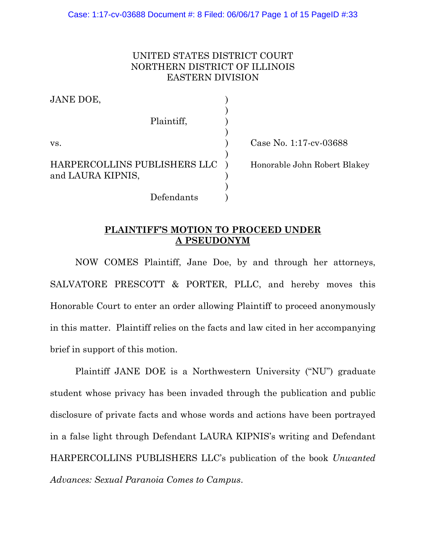# UNITED STATES DISTRICT COURT NORTHERN DISTRICT OF ILLINOIS EASTERN DIVISION

JANE DOE, ) Plaintiff, ) ) vs. ) Case No. 1:17-cv-03688 ) HARPERCOLLINS PUBLISHERS LLC ) Honorable John Robert Blakey and LAURA KIPNIS, ) Defendants )

### **PLAINTIFF'S MOTION TO PROCEED UNDER A PSEUDONYM**

NOW COMES Plaintiff, Jane Doe, by and through her attorneys, SALVATORE PRESCOTT & PORTER, PLLC, and hereby moves this Honorable Court to enter an order allowing Plaintiff to proceed anonymously in this matter. Plaintiff relies on the facts and law cited in her accompanying brief in support of this motion.

Plaintiff JANE DOE is a Northwestern University ("NU") graduate student whose privacy has been invaded through the publication and public disclosure of private facts and whose words and actions have been portrayed in a false light through Defendant LAURA KIPNIS's writing and Defendant HARPERCOLLINS PUBLISHERS LLC's publication of the book *Unwanted Advances: Sexual Paranoia Comes to Campus*.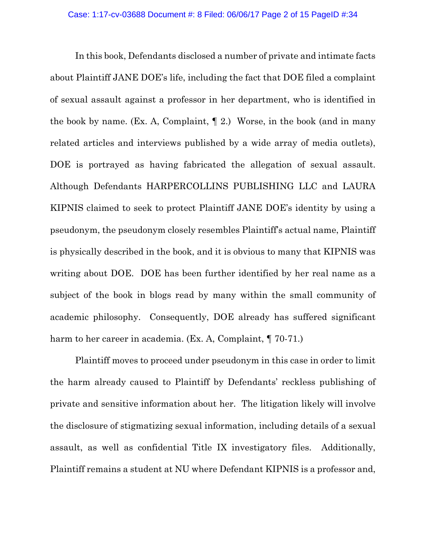In this book, Defendants disclosed a number of private and intimate facts about Plaintiff JANE DOE's life, including the fact that DOE filed a complaint of sexual assault against a professor in her department, who is identified in the book by name. (Ex. A, Complaint, ¶ 2.) Worse, in the book (and in many related articles and interviews published by a wide array of media outlets), DOE is portrayed as having fabricated the allegation of sexual assault. Although Defendants HARPERCOLLINS PUBLISHING LLC and LAURA KIPNIS claimed to seek to protect Plaintiff JANE DOE's identity by using a pseudonym, the pseudonym closely resembles Plaintiff's actual name, Plaintiff is physically described in the book, and it is obvious to many that KIPNIS was writing about DOE. DOE has been further identified by her real name as a subject of the book in blogs read by many within the small community of academic philosophy. Consequently, DOE already has suffered significant harm to her career in academia. (Ex. A, Complaint,  $\P$  70-71.)

Plaintiff moves to proceed under pseudonym in this case in order to limit the harm already caused to Plaintiff by Defendants' reckless publishing of private and sensitive information about her. The litigation likely will involve the disclosure of stigmatizing sexual information, including details of a sexual assault, as well as confidential Title IX investigatory files. Additionally, Plaintiff remains a student at NU where Defendant KIPNIS is a professor and,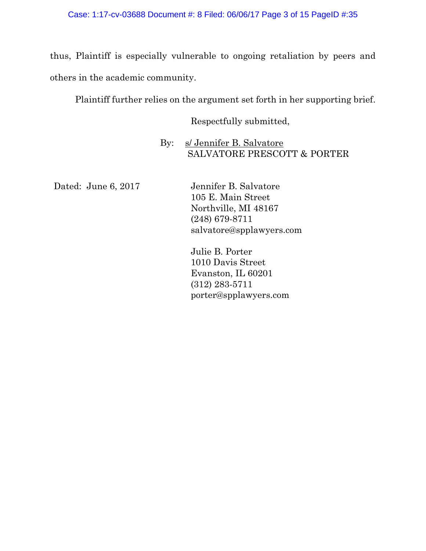thus, Plaintiff is especially vulnerable to ongoing retaliation by peers and others in the academic community.

Plaintiff further relies on the argument set forth in her supporting brief.

Respectfully submitted,

By: s/ Jennifer B. Salvatore SALVATORE PRESCOTT & PORTER

Dated: June 6, 2017 Jennifer B. Salvatore

105 E. Main Street Northville, MI 48167 (248) 679-8711 salvatore@spplawyers.com

Julie B. Porter 1010 Davis Street Evanston, IL 60201 (312) 283-5711 [porter@spplawyers.com](mailto:porter@spplawyers.com)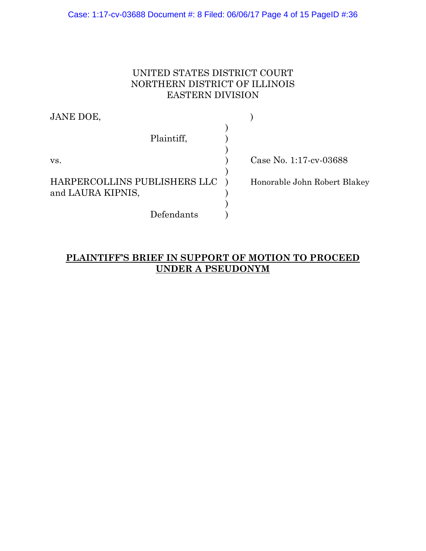Case: 1:17-cv-03688 Document #: 8 Filed: 06/06/17 Page 4 of 15 PageID #:36

# UNITED STATES DISTRICT COURT NORTHERN DISTRICT OF ILLINOIS EASTERN DIVISION

| JANE DOE,                    |                              |
|------------------------------|------------------------------|
|                              |                              |
| Plaintiff,                   |                              |
|                              |                              |
| VS.                          | Case No. 1:17-cv-03688       |
|                              |                              |
| HARPERCOLLINS PUBLISHERS LLC | Honorable John Robert Blakey |
| and LAURA KIPNIS,            |                              |
|                              |                              |
| Defendants                   |                              |

# **PLAINTIFF'S BRIEF IN SUPPORT OF MOTION TO PROCEED UNDER A PSEUDONYM**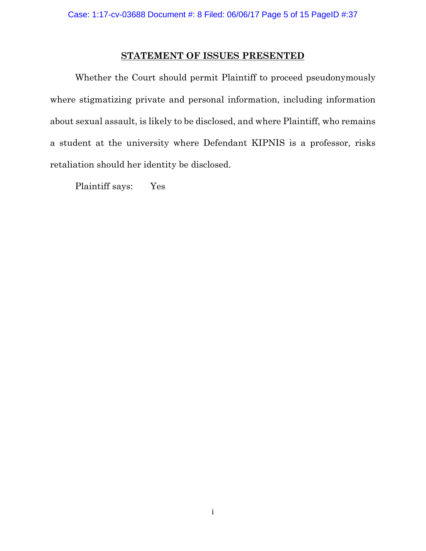### **STATEMENT OF ISSUES PRESENTED**

Whether the Court should permit Plaintiff to proceed pseudonymously where stigmatizing private and personal information, including information about sexual assault, is likely to be disclosed, and where Plaintiff, who remains a student at the university where Defendant KIPNIS is a professor, risks retaliation should her identity be disclosed.

Plaintiff says: Yes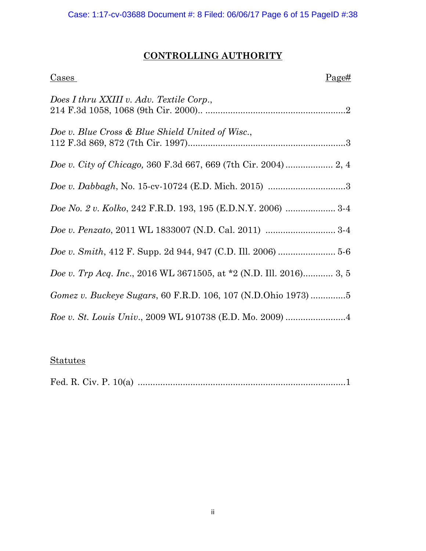# **CONTROLLING AUTHORITY**

| $\frac{Cases}{Cases}$<br>Page#                                     |
|--------------------------------------------------------------------|
| Does I thru XXIII v. Adv. Textile Corp.,                           |
| Doe v. Blue Cross & Blue Shield United of Wisc.,                   |
|                                                                    |
| <i>Doe v. Dabbagh</i> , No. 15-cv-10724 (E.D. Mich. 2015) 3        |
| Doe No. 2 v. Kolko, 242 F.R.D. 193, 195 (E.D.N.Y. 2006)  3-4       |
|                                                                    |
|                                                                    |
| Doe v. Trp Acq. Inc., 2016 WL 3671505, at *2 (N.D. Ill. 2016) 3, 5 |
|                                                                    |
|                                                                    |

# **Statutes**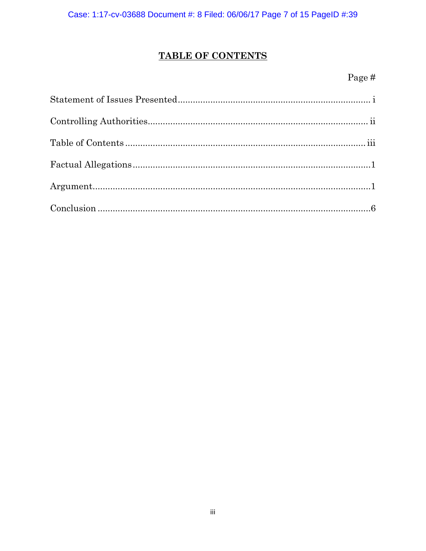# **TABLE OF CONTENTS**

# Page  $\#$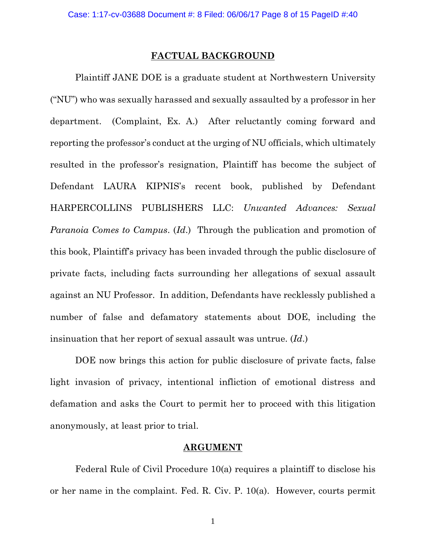#### **FACTUAL BACKGROUND**

Plaintiff JANE DOE is a graduate student at Northwestern University ("NU") who was sexually harassed and sexually assaulted by a professor in her department. (Complaint, Ex. A.) After reluctantly coming forward and reporting the professor's conduct at the urging of NU officials, which ultimately resulted in the professor's resignation, Plaintiff has become the subject of Defendant LAURA KIPNIS's recent book, published by Defendant HARPERCOLLINS PUBLISHERS LLC: *Unwanted Advances: Sexual Paranoia Comes to Campus*. (*Id*.) Through the publication and promotion of this book, Plaintiff's privacy has been invaded through the public disclosure of private facts, including facts surrounding her allegations of sexual assault against an NU Professor. In addition, Defendants have recklessly published a number of false and defamatory statements about DOE, including the insinuation that her report of sexual assault was untrue. (*Id*.)

DOE now brings this action for public disclosure of private facts, false light invasion of privacy, intentional infliction of emotional distress and defamation and asks the Court to permit her to proceed with this litigation anonymously, at least prior to trial.

#### **ARGUMENT**

Federal Rule of Civil Procedure 10(a) requires a plaintiff to disclose his or her name in the complaint. Fed. R. Civ. P. 10(a). However, courts permit

1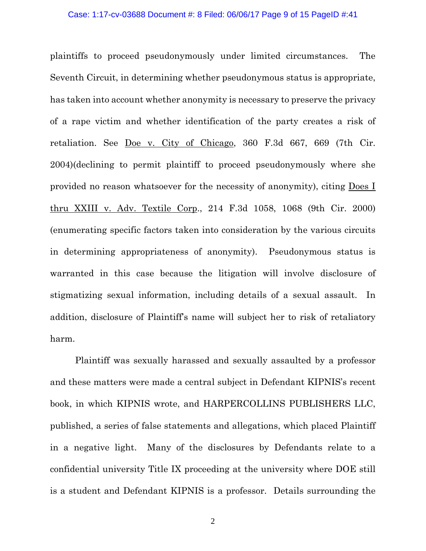#### Case: 1:17-cv-03688 Document #: 8 Filed: 06/06/17 Page 9 of 15 PageID #:41

plaintiffs to proceed pseudonymously under limited circumstances. The Seventh Circuit, in determining whether pseudonymous status is appropriate, has taken into account whether anonymity is necessary to preserve the privacy of a rape victim and whether identification of the party creates a risk of retaliation. See Doe v. City of Chicago, 360 F.3d 667, 669 (7th Cir. 2004)(declining to permit plaintiff to proceed pseudonymously where she provided no reason whatsoever for the necessity of anonymity), citing Does I thru XXIII v. Adv. Textile Corp., 214 F.3d 1058, 1068 (9th Cir. 2000) (enumerating specific factors taken into consideration by the various circuits in determining appropriateness of anonymity). Pseudonymous status is warranted in this case because the litigation will involve disclosure of stigmatizing sexual information, including details of a sexual assault. In addition, disclosure of Plaintiff's name will subject her to risk of retaliatory harm.

Plaintiff was sexually harassed and sexually assaulted by a professor and these matters were made a central subject in Defendant KIPNIS's recent book, in which KIPNIS wrote, and HARPERCOLLINS PUBLISHERS LLC, published, a series of false statements and allegations, which placed Plaintiff in a negative light. Many of the disclosures by Defendants relate to a confidential university Title IX proceeding at the university where DOE still is a student and Defendant KIPNIS is a professor. Details surrounding the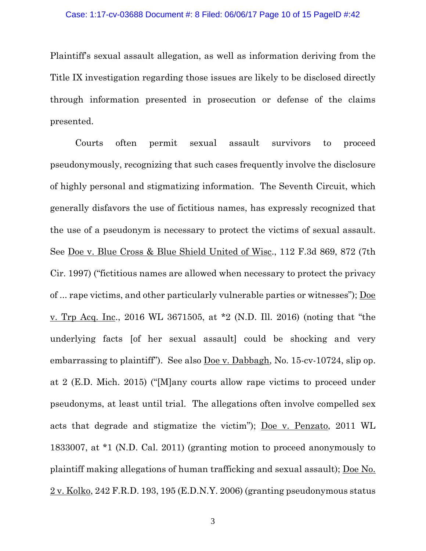Plaintiff's sexual assault allegation, as well as information deriving from the Title IX investigation regarding those issues are likely to be disclosed directly through information presented in prosecution or defense of the claims presented.

Courts often permit sexual assault survivors to proceed pseudonymously, recognizing that such cases frequently involve the disclosure of highly personal and stigmatizing information. The Seventh Circuit, which generally disfavors the use of fictitious names, has expressly recognized that the use of a pseudonym is necessary to protect the victims of sexual assault. See Doe v. Blue Cross & Blue Shield United of Wisc., 112 F.3d 869, 872 (7th Cir. 1997) ("fictitious names are allowed when necessary to protect the privacy of ... rape victims, and other particularly vulnerable parties or witnesses"); Doe v. Trp Acq. Inc., 2016 WL 3671505, at \*2 (N.D. Ill. 2016) (noting that "the underlying facts [of her sexual assault] could be shocking and very embarrassing to plaintiff"). See also Doe v. Dabbagh, No. 15-cv-10724, slip op. at 2 (E.D. Mich. 2015) ("[M]any courts allow rape victims to proceed under pseudonyms, at least until trial. The allegations often involve compelled sex acts that degrade and stigmatize the victim"); Doe v. Penzato, 2011 WL 1833007, at \*1 (N.D. Cal. 2011) (granting motion to proceed anonymously to plaintiff making allegations of human trafficking and sexual assault); Doe No. 2 v. Kolko, 242 F.R.D. 193, 195 (E.D.N.Y. 2006) (granting pseudonymous status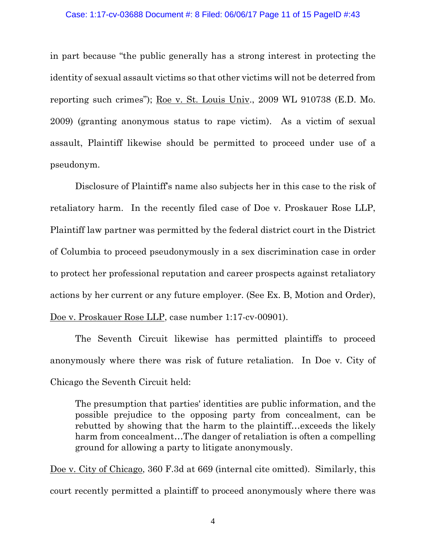in part because "the public generally has a strong interest in protecting the identity of sexual assault victims so that other victims will not be deterred from reporting such crimes"); Roe v. St. Louis Univ., 2009 WL 910738 (E.D. Mo. 2009) (granting anonymous status to rape victim). As a victim of sexual assault, Plaintiff likewise should be permitted to proceed under use of a pseudonym.

Disclosure of Plaintiff's name also subjects her in this case to the risk of retaliatory harm. In the recently filed case of Doe v. Proskauer Rose LLP, Plaintiff law partner was permitted by the federal district court in the District of Columbia to proceed pseudonymously in a sex discrimination case in order to protect her professional reputation and career prospects against retaliatory actions by her current or any future employer. (See Ex. B, Motion and Order), Doe v. Proskauer Rose LLP, case number 1:17-cv-00901).

The Seventh Circuit likewise has permitted plaintiffs to proceed anonymously where there was risk of future retaliation. In Doe v. City of Chicago the Seventh Circuit held:

The presumption that parties' identities are public information, and the possible prejudice to the opposing party from concealment, can be rebutted by showing that the harm to the plaintiff…exceeds the likely harm from concealment...The danger of retaliation is often a compelling ground for allowing a party to litigate anonymously.

Doe v. City of Chicago, 360 F.3d at 669 (internal cite omitted). Similarly, this court recently permitted a plaintiff to proceed anonymously where there was

4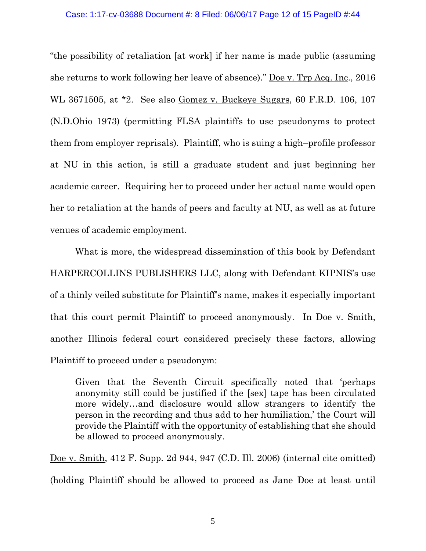"the possibility of retaliation [at work] if her name is made public (assuming she returns to work following her leave of absence)." Doe v. Trp Acq. Inc., 2016 WL 3671505, at \*2. See also Gomez v. Buckeye Sugars, 60 F.R.D. 106, 107 (N.D.Ohio 1973) (permitting FLSA plaintiffs to use pseudonyms to protect them from employer reprisals). Plaintiff, who is suing a high–profile professor at NU in this action, is still a graduate student and just beginning her academic career. Requiring her to proceed under her actual name would open her to retaliation at the hands of peers and faculty at NU, as well as at future venues of academic employment.

What is more, the widespread dissemination of this book by Defendant HARPERCOLLINS PUBLISHERS LLC, along with Defendant KIPNIS's use of a thinly veiled substitute for Plaintiff's name, makes it especially important that this court permit Plaintiff to proceed anonymously. In Doe v. Smith, another Illinois federal court considered precisely these factors, allowing Plaintiff to proceed under a pseudonym:

Given that the Seventh Circuit specifically noted that 'perhaps anonymity still could be justified if the [sex] tape has been circulated more widely…and disclosure would allow strangers to identify the person in the recording and thus add to her humiliation,' the Court will provide the Plaintiff with the opportunity of establishing that she should be allowed to proceed anonymously.

Doe v. Smith, 412 F. Supp. 2d 944, 947 (C.D. Ill. 2006) (internal cite omitted) (holding Plaintiff should be allowed to proceed as Jane Doe at least until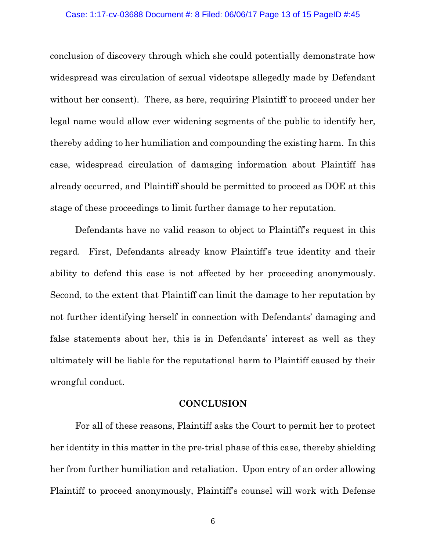conclusion of discovery through which she could potentially demonstrate how widespread was circulation of sexual videotape allegedly made by Defendant without her consent). There, as here, requiring Plaintiff to proceed under her legal name would allow ever widening segments of the public to identify her, thereby adding to her humiliation and compounding the existing harm. In this case, widespread circulation of damaging information about Plaintiff has already occurred, and Plaintiff should be permitted to proceed as DOE at this stage of these proceedings to limit further damage to her reputation.

Defendants have no valid reason to object to Plaintiff's request in this regard. First, Defendants already know Plaintiff's true identity and their ability to defend this case is not affected by her proceeding anonymously. Second, to the extent that Plaintiff can limit the damage to her reputation by not further identifying herself in connection with Defendants' damaging and false statements about her, this is in Defendants' interest as well as they ultimately will be liable for the reputational harm to Plaintiff caused by their wrongful conduct.

### **CONCLUSION**

For all of these reasons, Plaintiff asks the Court to permit her to protect her identity in this matter in the pre-trial phase of this case, thereby shielding her from further humiliation and retaliation. Upon entry of an order allowing Plaintiff to proceed anonymously, Plaintiff's counsel will work with Defense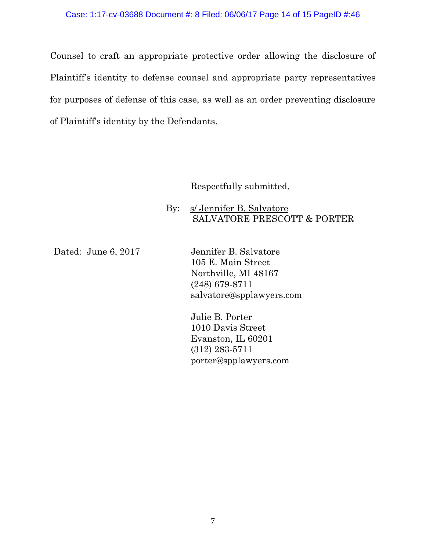Counsel to craft an appropriate protective order allowing the disclosure of Plaintiff's identity to defense counsel and appropriate party representatives for purposes of defense of this case, as well as an order preventing disclosure of Plaintiff's identity by the Defendants.

Respectfully submitted,

By: s/ Jennifer B. Salvatore SALVATORE PRESCOTT & PORTER

Dated: June 6, 2017 Jennifer B. Salvatore 105 E. Main Street Northville, MI 48167 (248) 679-8711 salvatore@spplawyers.com

> Julie B. Porter 1010 Davis Street Evanston, IL 60201 (312) 283-5711 [porter@spplawyers.com](mailto:porter@spplawyers.com)